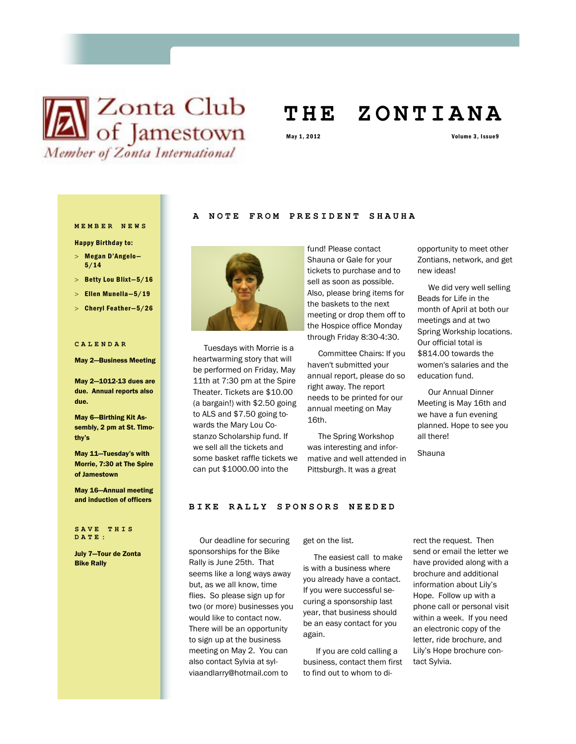

# **T H E Z O N T I A N A**

May 1, 2012 Volume 3, Issue9

## **M E M B E R N E W S**

Happy Birthday to:

- Megan D'Angelo— 5/14
- > Betty Lou Blixt-5/16
- $>$  Ellen Munella-5/19
- $>$  Cheryl Feather-5/26

#### **C A L E N D A R**

#### May 2—Business Meeting

May 2—1012-13 dues are due. Annual reports also due.

May 6—Birthing Kit Assembly, 2 pm at St. Timothy's

May 11—Tuesday's with Morrie, 7:30 at The Spire of Jamestown

May 16—Annual meeting and induction of officers

**S A V E T H I S D A T E :**

July 7—Tour de Zonta Bike Rally

## A NOTE FROM PRESIDENT SHAUHA



 Tuesdays with Morrie is a heartwarming story that will be performed on Friday, May 11th at 7:30 pm at the Spire Theater. Tickets are \$10.00 (a bargain!) with \$2.50 going to ALS and \$7.50 going towards the Mary Lou Costanzo Scholarship fund. If we sell all the tickets and some basket raffle tickets we can put \$1000.00 into the

fund! Please contact Shauna or Gale for your tickets to purchase and to sell as soon as possible. Also, please bring items for the baskets to the next meeting or drop them off to the Hospice office Monday through Friday 8:30-4:30.

 Committee Chairs: If you haven't submitted your annual report, please do so right away. The report needs to be printed for our annual meeting on May 16th.

 The Spring Workshop was interesting and informative and well attended in Pittsburgh. It was a great

opportunity to meet other Zontians, network, and get new ideas!

 We did very well selling Beads for Life in the month of April at both our meetings and at two Spring Workship locations. Our official total is \$814.00 towards the women's salaries and the education fund.

 Our Annual Dinner Meeting is May 16th and we have a fun evening planned. Hope to see you all there!

Shauna

#### **BIKE RALLY SPONSORS NEEDED**

 Our deadline for securing sponsorships for the Bike Rally is June 25th. That seems like a long ways away but, as we all know, time flies. So please sign up for two (or more) businesses you would like to contact now. There will be an opportunity to sign up at the business meeting on May 2. You can also contact Sylvia at sylviaandlarry@hotmail.com to

get on the list.

 The easiest call to make is with a business where you already have a contact. If you were successful securing a sponsorship last year, that business should be an easy contact for you again.

 If you are cold calling a business, contact them first to find out to whom to direct the request. Then send or email the letter we have provided along with a brochure and additional information about Lily's Hope. Follow up with a phone call or personal visit within a week. If you need an electronic copy of the letter, ride brochure, and Lily's Hope brochure contact Sylvia.